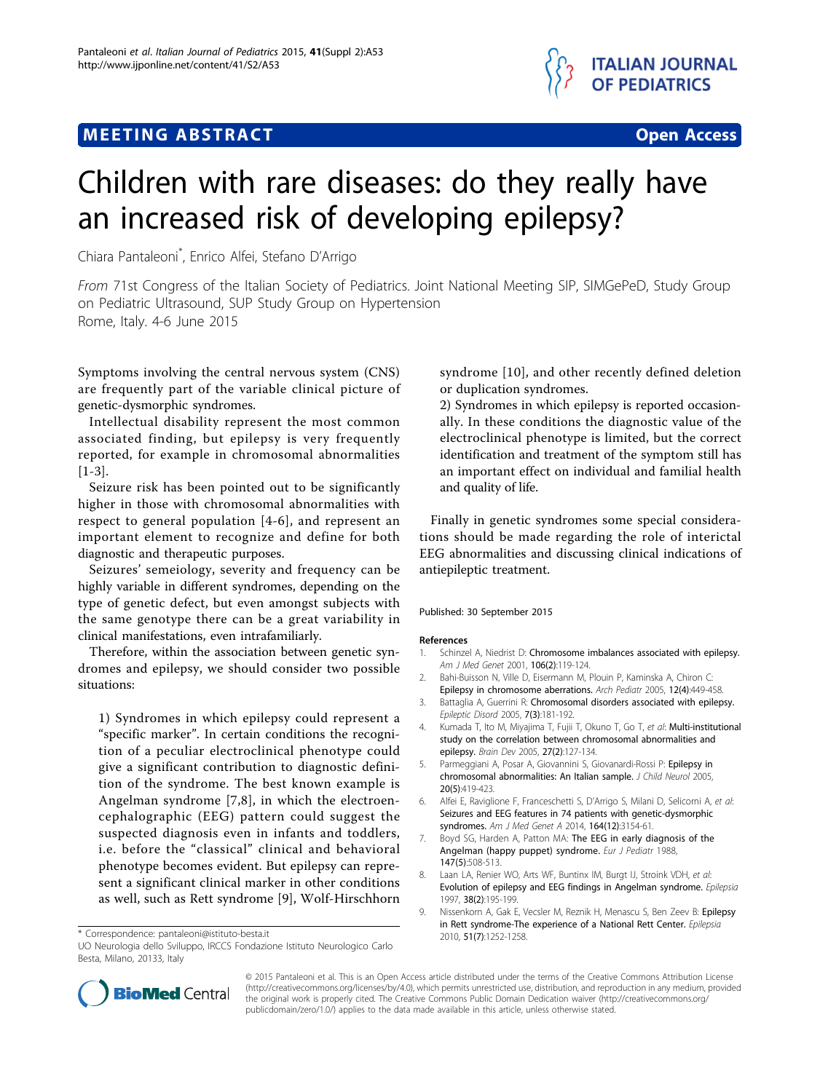## **MEETING ABSTRACT ACCESS**



# Children with rare diseases: do they really have an increased risk of developing epilepsy?

Chiara Pantaleoni\* , Enrico Alfei, Stefano D'Arrigo

From 71st Congress of the Italian Society of Pediatrics. Joint National Meeting SIP, SIMGePeD, Study Group on Pediatric Ultrasound, SUP Study Group on Hypertension Rome, Italy. 4-6 June 2015

Symptoms involving the central nervous system (CNS) are frequently part of the variable clinical picture of genetic-dysmorphic syndromes.

Intellectual disability represent the most common associated finding, but epilepsy is very frequently reported, for example in chromosomal abnormalities [1-3].

Seizure risk has been pointed out to be significantly higher in those with chromosomal abnormalities with respect to general population [4-6], and represent an important element to recognize and define for both diagnostic and therapeutic purposes.

Seizures' semeiology, severity and frequency can be highly variable in different syndromes, depending on the type of genetic defect, but even amongst subjects with the same genotype there can be a great variability in clinical manifestations, even intrafamiliarly.

Therefore, within the association between genetic syndromes and epilepsy, we should consider two possible situations:

1) Syndromes in which epilepsy could represent a "specific marker". In certain conditions the recognition of a peculiar electroclinical phenotype could give a significant contribution to diagnostic definition of the syndrome. The best known example is Angelman syndrome [7,8], in which the electroencephalographic (EEG) pattern could suggest the suspected diagnosis even in infants and toddlers, i.e. before the "classical" clinical and behavioral phenotype becomes evident. But epilepsy can represent a significant clinical marker in other conditions as well, such as Rett syndrome [9], Wolf-Hirschhorn

syndrome [[10\]](#page-1-0), and other recently defined deletion or duplication syndromes.

2) Syndromes in which epilepsy is reported occasionally. In these conditions the diagnostic value of the electroclinical phenotype is limited, but the correct identification and treatment of the symptom still has an important effect on individual and familial health and quality of life.

Finally in genetic syndromes some special considerations should be made regarding the role of interictal EEG abnormalities and discussing clinical indications of antiepileptic treatment.

#### Published: 30 September 2015

#### References

- 1. Schinzel A, Niedrist D: [Chromosome imbalances associated with epilepsy.](http://www.ncbi.nlm.nih.gov/pubmed/11579431?dopt=Abstract) Am J Med Genet 2001, 106(2):119-124.
- 2. Bahi-Buisson N, Ville D, Eisermann M, Plouin P, Kaminska A, Chiron C:
- [Epilepsy in chromosome aberrations.](http://www.ncbi.nlm.nih.gov/pubmed/15808438?dopt=Abstract) Arch Pediatr 2005, 12(4):449-458. 3. Battaglia A, Guerrini R: [Chromosomal disorders associated with epilepsy.](http://www.ncbi.nlm.nih.gov/pubmed/16162426?dopt=Abstract)
- Epileptic Disord 2005, 7(3):181-192. 4. Kumada T, Ito M, Miyajima T, Fujii T, Okuno T, Go T, et al: [Multi-institutional](http://www.ncbi.nlm.nih.gov/pubmed/15668053?dopt=Abstract) [study on the correlation between chromosomal abnormalities and](http://www.ncbi.nlm.nih.gov/pubmed/15668053?dopt=Abstract) [epilepsy.](http://www.ncbi.nlm.nih.gov/pubmed/15668053?dopt=Abstract) Brain Dev 2005, 27(2):127-134.
- Parmeggiani A, Posar A, Giovannini S, Giovanardi-Rossi P: [Epilepsy in](http://www.ncbi.nlm.nih.gov/pubmed/15968927?dopt=Abstract) [chromosomal abnormalities: An Italian sample.](http://www.ncbi.nlm.nih.gov/pubmed/15968927?dopt=Abstract) J Child Neurol 2005, 20(5):419-423.
- 6. Alfei E, Raviglione F, Franceschetti S, D'Arrigo S, Milani D, Selicorni A, et al: Seizures and EEG features in 74 patients with genetic-dysmorphic syndromes. Am J Med Genet A 2014, 164(12):3154-61.
- 7. Boyd SG, Harden A, Patton MA: [The EEG in early diagnosis of the](http://www.ncbi.nlm.nih.gov/pubmed/3409926?dopt=Abstract) [Angelman \(happy puppet\) syndrome.](http://www.ncbi.nlm.nih.gov/pubmed/3409926?dopt=Abstract) Eur J Pediatr 1988, 147(5):508-513.
- 8. Laan LA, Renier WO, Arts WF, Buntinx IM, Burgt IJ, Stroink VDH, et al: [Evolution of epilepsy and EEG findings in Angelman syndrome.](http://www.ncbi.nlm.nih.gov/pubmed/9048672?dopt=Abstract) Epilepsia 1997, 38(2):195-199.
- 9. Nissenkorn A, Gak E, Vecsler M, Reznik H, Menascu S, Ben Zeev B: [Epilepsy](http://www.ncbi.nlm.nih.gov/pubmed/20491871?dopt=Abstract) [in Rett syndrome-The experience of a National Rett Center.](http://www.ncbi.nlm.nih.gov/pubmed/20491871?dopt=Abstract) Epilepsia



© 2015 Pantaleoni et al. This is an Open Access article distributed under the terms of the Creative Commons Attribution License [\(http://creativecommons.org/licenses/by/4.0](http://creativecommons.org/licenses/by/4.0)), which permits unrestricted use, distribution, and reproduction in any medium, provided the original work is properly cited. The Creative Commons Public Domain Dedication waiver ([http://creativecommons.org/](http://creativecommons.org/publicdomain/zero/1.0/) [publicdomain/zero/1.0/](http://creativecommons.org/publicdomain/zero/1.0/)) applies to the data made available in this article, unless otherwise stated.

<sup>2010,</sup> 51(7):1252-1258. \* Correspondence: [pantaleoni@istituto-besta.it](mailto:pantaleoni@istituto-besta.it)

UO Neurologia dello Sviluppo, IRCCS Fondazione Istituto Neurologico Carlo Besta, Milano, 20133, Italy